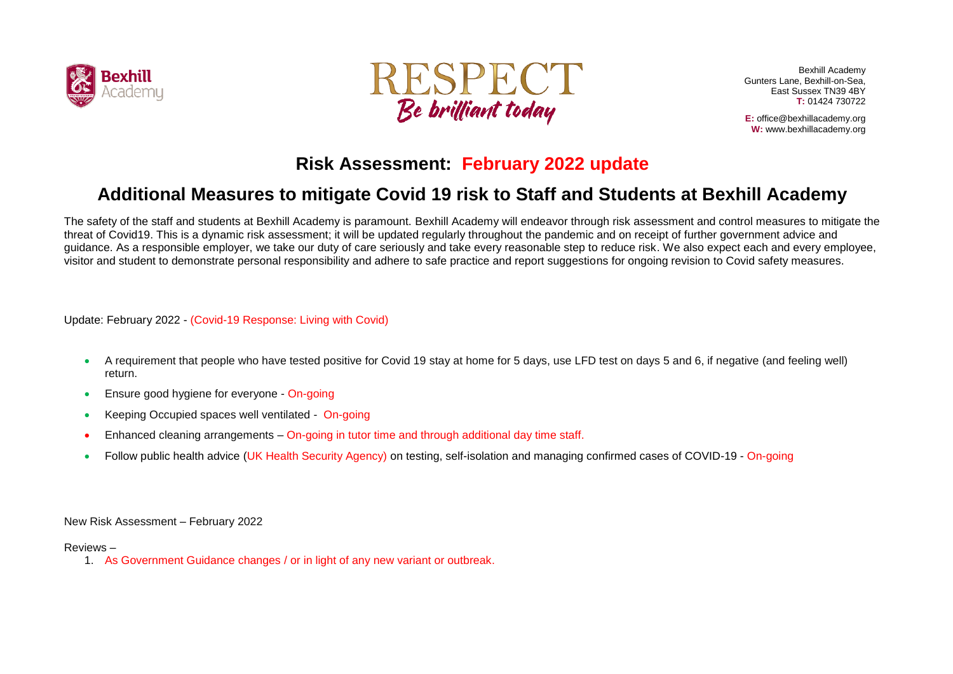



Bexhill Academy Gunters Lane, Bexhill-on-Sea, East Sussex TN39 4BY **T:** 01424 730722

**E:** office@bexhillacademy.org **W:** www.bexhillacademy.org

## **Risk Assessment: February 2022 update**

## **Additional Measures to mitigate Covid 19 risk to Staff and Students at Bexhill Academy**

The safety of the staff and students at Bexhill Academy is paramount. Bexhill Academy will endeavor through risk assessment and control measures to mitigate the threat of Covid19. This is a dynamic risk assessment; it will be updated regularly throughout the pandemic and on receipt of further government advice and guidance. As a responsible employer, we take our duty of care seriously and take every reasonable step to reduce risk. We also expect each and every employee, visitor and student to demonstrate personal responsibility and adhere to safe practice and report suggestions for ongoing revision to Covid safety measures.

Update: February 2022 - (Covid-19 Response: Living with Covid)

- A requirement that people who have tested positive for Covid 19 stay at home for 5 days, use LFD test on days 5 and 6, if negative (and feeling well) return.
- Ensure good hygiene for everyone On-going
- Keeping Occupied spaces well ventilated On-going
- Enhanced cleaning arrangements On-going in tutor time and through additional day time staff.
- Follow public health advice (UK Health Security Agency) on testing, self-isolation and managing confirmed cases of COVID-19 On-going

New Risk Assessment – February 2022

## Reviews –

1. As Government Guidance changes / or in light of any new variant or outbreak.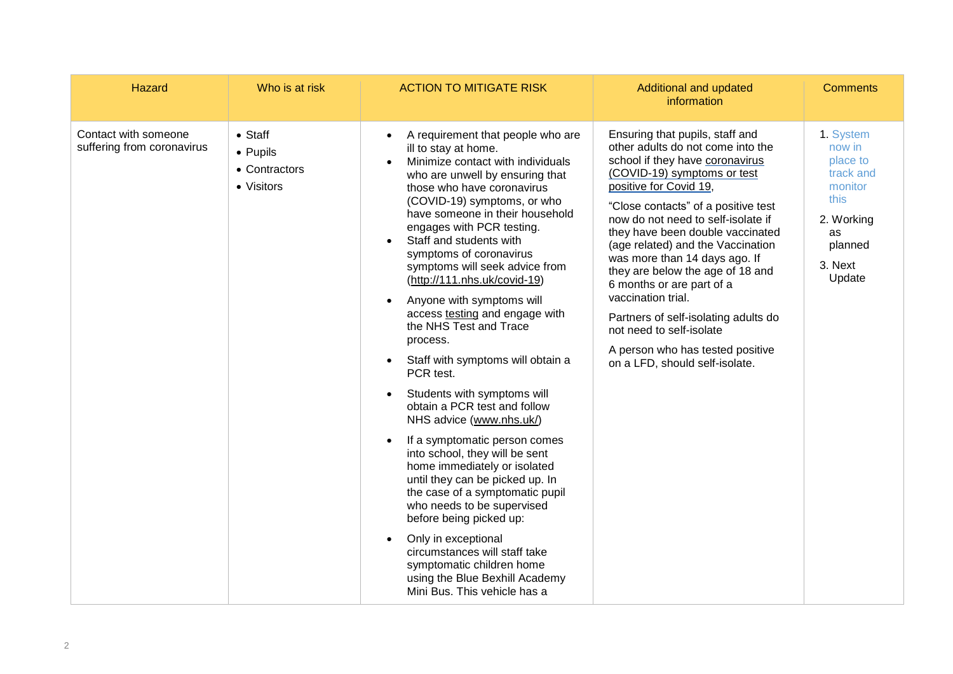| Hazard                                             | Who is at risk                                             | <b>ACTION TO MITIGATE RISK</b>                                                                                                                                                                                                                                                                                                                                                                                                                                                                                                                                                                                                                                                                                                                                                                                                                                                                                                                                                                                                                                                        | Additional and updated<br>information                                                                                                                                                                                                                                                                                                                                                                                                                                                                                                                                                    | <b>Comments</b>                                                                                                     |
|----------------------------------------------------|------------------------------------------------------------|---------------------------------------------------------------------------------------------------------------------------------------------------------------------------------------------------------------------------------------------------------------------------------------------------------------------------------------------------------------------------------------------------------------------------------------------------------------------------------------------------------------------------------------------------------------------------------------------------------------------------------------------------------------------------------------------------------------------------------------------------------------------------------------------------------------------------------------------------------------------------------------------------------------------------------------------------------------------------------------------------------------------------------------------------------------------------------------|------------------------------------------------------------------------------------------------------------------------------------------------------------------------------------------------------------------------------------------------------------------------------------------------------------------------------------------------------------------------------------------------------------------------------------------------------------------------------------------------------------------------------------------------------------------------------------------|---------------------------------------------------------------------------------------------------------------------|
| Contact with someone<br>suffering from coronavirus | $\bullet$ Staff<br>• Pupils<br>• Contractors<br>• Visitors | A requirement that people who are<br>$\bullet$<br>ill to stay at home.<br>Minimize contact with individuals<br>who are unwell by ensuring that<br>those who have coronavirus<br>(COVID-19) symptoms, or who<br>have someone in their household<br>engages with PCR testing.<br>Staff and students with<br>$\bullet$<br>symptoms of coronavirus<br>symptoms will seek advice from<br>(http://111.nhs.uk/covid-19)<br>Anyone with symptoms will<br>access testing and engage with<br>the NHS Test and Trace<br>process.<br>Staff with symptoms will obtain a<br>$\bullet$<br>PCR test.<br>Students with symptoms will<br>obtain a PCR test and follow<br>NHS advice (www.nhs.uk/)<br>If a symptomatic person comes<br>$\bullet$<br>into school, they will be sent<br>home immediately or isolated<br>until they can be picked up. In<br>the case of a symptomatic pupil<br>who needs to be supervised<br>before being picked up:<br>Only in exceptional<br>circumstances will staff take<br>symptomatic children home<br>using the Blue Bexhill Academy<br>Mini Bus. This vehicle has a | Ensuring that pupils, staff and<br>other adults do not come into the<br>school if they have coronavirus<br>(COVID-19) symptoms or test<br>positive for Covid 19,<br>"Close contacts" of a positive test<br>now do not need to self-isolate if<br>they have been double vaccinated<br>(age related) and the Vaccination<br>was more than 14 days ago. If<br>they are below the age of 18 and<br>6 months or are part of a<br>vaccination trial.<br>Partners of self-isolating adults do<br>not need to self-isolate<br>A person who has tested positive<br>on a LFD, should self-isolate. | 1. System<br>now in<br>place to<br>track and<br>monitor<br>this<br>2. Working<br>as<br>planned<br>3. Next<br>Update |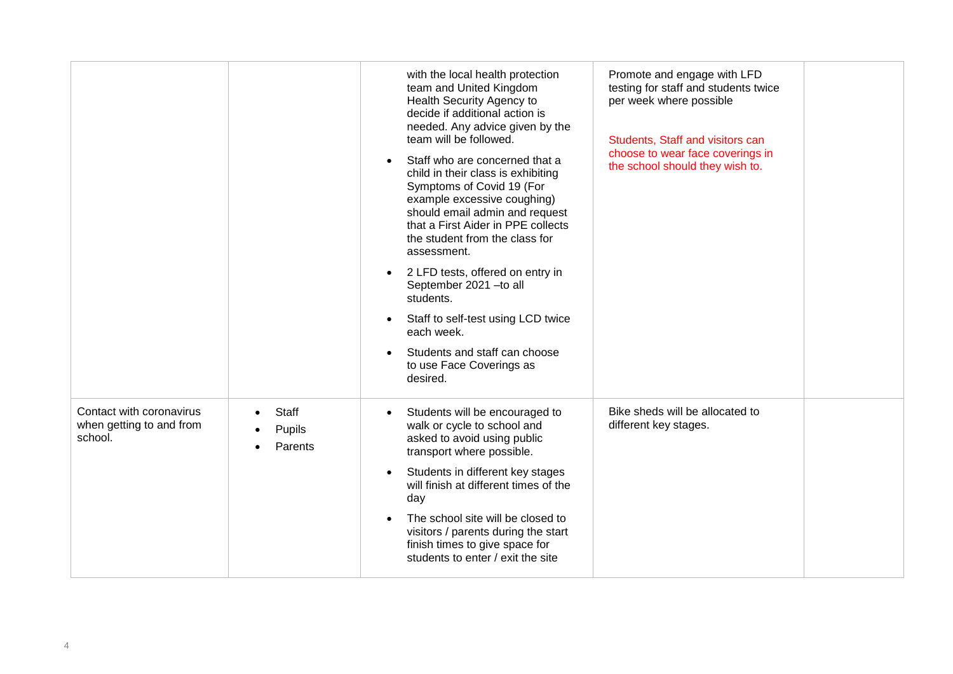|                                                                 |                                   | with the local health protection<br>team and United Kingdom                                                                                                                                                                                                            | Promote and engage with LFD<br>testing for staff and students twice |  |
|-----------------------------------------------------------------|-----------------------------------|------------------------------------------------------------------------------------------------------------------------------------------------------------------------------------------------------------------------------------------------------------------------|---------------------------------------------------------------------|--|
|                                                                 |                                   | Health Security Agency to<br>decide if additional action is<br>needed. Any advice given by the<br>team will be followed.                                                                                                                                               | per week where possible<br>Students, Staff and visitors can         |  |
|                                                                 |                                   | Staff who are concerned that a<br>$\bullet$<br>child in their class is exhibiting<br>Symptoms of Covid 19 (For<br>example excessive coughing)<br>should email admin and request<br>that a First Aider in PPE collects<br>the student from the class for<br>assessment. | choose to wear face coverings in<br>the school should they wish to. |  |
|                                                                 |                                   | 2 LFD tests, offered on entry in<br>$\bullet$<br>September 2021 - to all<br>students.                                                                                                                                                                                  |                                                                     |  |
|                                                                 |                                   | Staff to self-test using LCD twice<br>$\bullet$<br>each week.                                                                                                                                                                                                          |                                                                     |  |
|                                                                 |                                   | Students and staff can choose<br>$\bullet$<br>to use Face Coverings as<br>desired.                                                                                                                                                                                     |                                                                     |  |
| Contact with coronavirus<br>when getting to and from<br>school. | <b>Staff</b><br>Pupils<br>Parents | Students will be encouraged to<br>walk or cycle to school and<br>asked to avoid using public<br>transport where possible.                                                                                                                                              | Bike sheds will be allocated to<br>different key stages.            |  |
|                                                                 |                                   | Students in different key stages<br>$\bullet$<br>will finish at different times of the<br>day                                                                                                                                                                          |                                                                     |  |
|                                                                 |                                   | The school site will be closed to<br>$\bullet$<br>visitors / parents during the start<br>finish times to give space for<br>students to enter / exit the site                                                                                                           |                                                                     |  |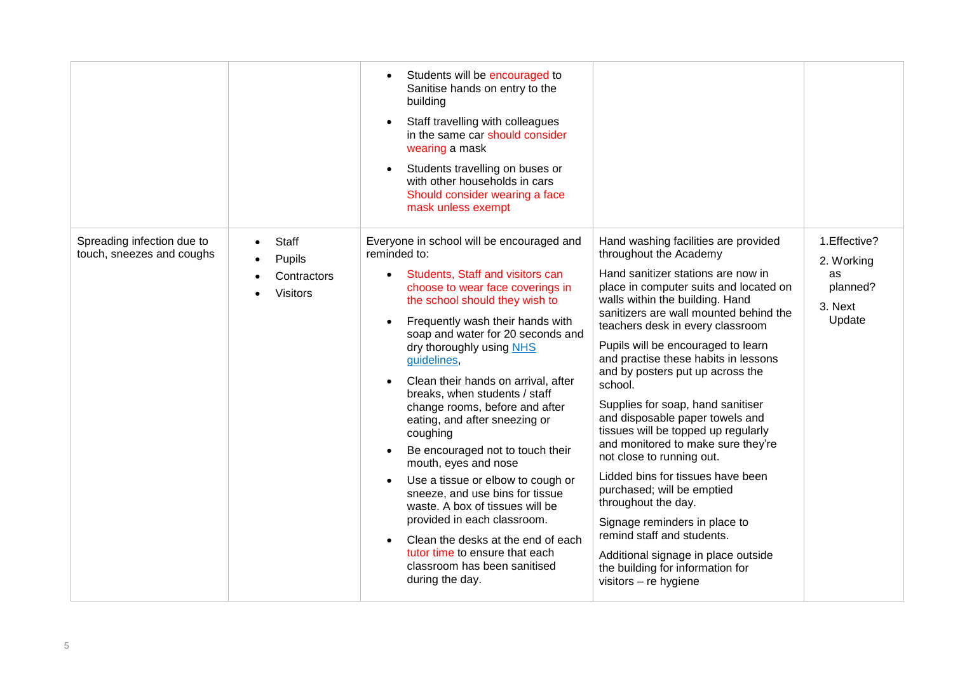|                                                         |                                                                       | Students will be encouraged to<br>$\bullet$<br>Sanitise hands on entry to the<br>building<br>Staff travelling with colleagues<br>$\bullet$<br>in the same car should consider<br>wearing a mask<br>Students travelling on buses or<br>$\bullet$<br>with other households in cars<br>Should consider wearing a face<br>mask unless exempt                                                                                                                                                                                                                                                                                                                                                                                                                                                                                            |                                                                                                                                                                                                                                                                                                                                                                                                                                                                                                                                                                                                                                                                                                                                                                                                                                             |                                                                    |
|---------------------------------------------------------|-----------------------------------------------------------------------|-------------------------------------------------------------------------------------------------------------------------------------------------------------------------------------------------------------------------------------------------------------------------------------------------------------------------------------------------------------------------------------------------------------------------------------------------------------------------------------------------------------------------------------------------------------------------------------------------------------------------------------------------------------------------------------------------------------------------------------------------------------------------------------------------------------------------------------|---------------------------------------------------------------------------------------------------------------------------------------------------------------------------------------------------------------------------------------------------------------------------------------------------------------------------------------------------------------------------------------------------------------------------------------------------------------------------------------------------------------------------------------------------------------------------------------------------------------------------------------------------------------------------------------------------------------------------------------------------------------------------------------------------------------------------------------------|--------------------------------------------------------------------|
| Spreading infection due to<br>touch, sneezes and coughs | <b>Staff</b><br>$\bullet$<br>Pupils<br>Contractors<br><b>Visitors</b> | Everyone in school will be encouraged and<br>reminded to:<br>Students, Staff and visitors can<br>$\bullet$<br>choose to wear face coverings in<br>the school should they wish to<br>Frequently wash their hands with<br>$\bullet$<br>soap and water for 20 seconds and<br>dry thoroughly using NHS<br>guidelines,<br>Clean their hands on arrival, after<br>$\bullet$<br>breaks, when students / staff<br>change rooms, before and after<br>eating, and after sneezing or<br>coughing<br>Be encouraged not to touch their<br>mouth, eyes and nose<br>Use a tissue or elbow to cough or<br>sneeze, and use bins for tissue<br>waste. A box of tissues will be<br>provided in each classroom.<br>Clean the desks at the end of each<br>$\bullet$<br>tutor time to ensure that each<br>classroom has been sanitised<br>during the day. | Hand washing facilities are provided<br>throughout the Academy<br>Hand sanitizer stations are now in<br>place in computer suits and located on<br>walls within the building. Hand<br>sanitizers are wall mounted behind the<br>teachers desk in every classroom<br>Pupils will be encouraged to learn<br>and practise these habits in lessons<br>and by posters put up across the<br>school.<br>Supplies for soap, hand sanitiser<br>and disposable paper towels and<br>tissues will be topped up regularly<br>and monitored to make sure they're<br>not close to running out.<br>Lidded bins for tissues have been<br>purchased; will be emptied<br>throughout the day.<br>Signage reminders in place to<br>remind staff and students.<br>Additional signage in place outside<br>the building for information for<br>visitors - re hygiene | 1. Effective?<br>2. Working<br>as<br>planned?<br>3. Next<br>Update |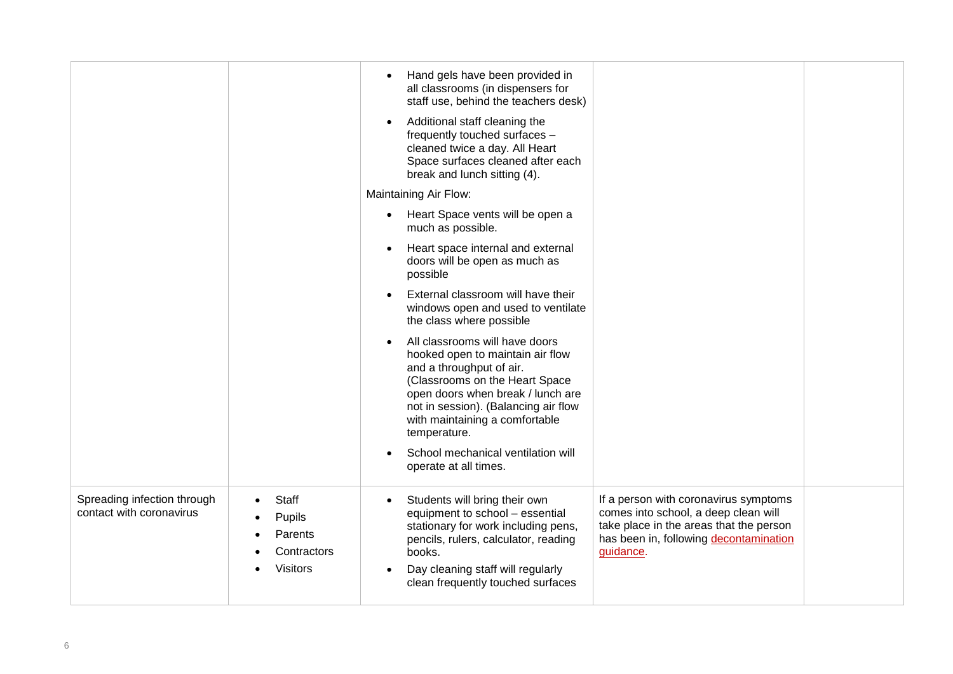|                                                         |                                                              | Hand gels have been provided in<br>$\bullet$<br>all classrooms (in dispensers for<br>staff use, behind the teachers desk)<br>Additional staff cleaning the<br>$\bullet$<br>frequently touched surfaces -<br>cleaned twice a day. All Heart<br>Space surfaces cleaned after each<br>break and lunch sitting (4). |                                                                                                                                                                                 |  |
|---------------------------------------------------------|--------------------------------------------------------------|-----------------------------------------------------------------------------------------------------------------------------------------------------------------------------------------------------------------------------------------------------------------------------------------------------------------|---------------------------------------------------------------------------------------------------------------------------------------------------------------------------------|--|
|                                                         |                                                              | Maintaining Air Flow:                                                                                                                                                                                                                                                                                           |                                                                                                                                                                                 |  |
|                                                         |                                                              | Heart Space vents will be open a<br>$\bullet$<br>much as possible.                                                                                                                                                                                                                                              |                                                                                                                                                                                 |  |
|                                                         |                                                              | Heart space internal and external<br>doors will be open as much as<br>possible                                                                                                                                                                                                                                  |                                                                                                                                                                                 |  |
|                                                         |                                                              | External classroom will have their<br>$\bullet$<br>windows open and used to ventilate<br>the class where possible                                                                                                                                                                                               |                                                                                                                                                                                 |  |
|                                                         |                                                              | All classrooms will have doors<br>hooked open to maintain air flow<br>and a throughput of air.<br>(Classrooms on the Heart Space<br>open doors when break / lunch are<br>not in session). (Balancing air flow<br>with maintaining a comfortable<br>temperature.                                                 |                                                                                                                                                                                 |  |
|                                                         |                                                              | School mechanical ventilation will<br>operate at all times.                                                                                                                                                                                                                                                     |                                                                                                                                                                                 |  |
| Spreading infection through<br>contact with coronavirus | Staff<br>Pupils<br>Parents<br>Contractors<br><b>Visitors</b> | Students will bring their own<br>$\bullet$<br>equipment to school - essential<br>stationary for work including pens,<br>pencils, rulers, calculator, reading<br>books.<br>Day cleaning staff will regularly<br>clean frequently touched surfaces                                                                | If a person with coronavirus symptoms<br>comes into school, a deep clean will<br>take place in the areas that the person<br>has been in, following decontamination<br>guidance. |  |
|                                                         |                                                              |                                                                                                                                                                                                                                                                                                                 |                                                                                                                                                                                 |  |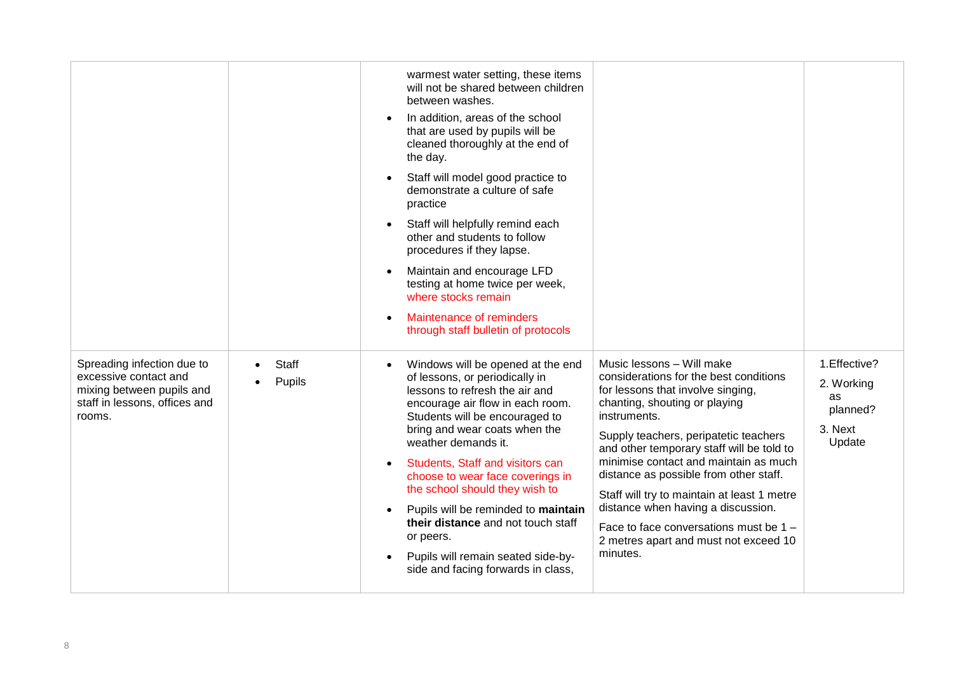|                                                                                                                             |                        | warmest water setting, these items<br>will not be shared between children<br>between washes.<br>In addition, areas of the school<br>$\bullet$<br>that are used by pupils will be<br>cleaned thoroughly at the end of<br>the day.<br>Staff will model good practice to<br>$\bullet$<br>demonstrate a culture of safe<br>practice<br>Staff will helpfully remind each<br>$\bullet$<br>other and students to follow<br>procedures if they lapse.<br>Maintain and encourage LFD<br>$\bullet$<br>testing at home twice per week,<br>where stocks remain<br>Maintenance of reminders<br>$\bullet$<br>through staff bulletin of protocols |                                                                                                                                                                                                                                                                                                                                                                                                                                                                                                                        |                                                                    |
|-----------------------------------------------------------------------------------------------------------------------------|------------------------|------------------------------------------------------------------------------------------------------------------------------------------------------------------------------------------------------------------------------------------------------------------------------------------------------------------------------------------------------------------------------------------------------------------------------------------------------------------------------------------------------------------------------------------------------------------------------------------------------------------------------------|------------------------------------------------------------------------------------------------------------------------------------------------------------------------------------------------------------------------------------------------------------------------------------------------------------------------------------------------------------------------------------------------------------------------------------------------------------------------------------------------------------------------|--------------------------------------------------------------------|
| Spreading infection due to<br>excessive contact and<br>mixing between pupils and<br>staff in lessons, offices and<br>rooms. | <b>Staff</b><br>Pupils | Windows will be opened at the end<br>$\bullet$<br>of lessons, or periodically in<br>lessons to refresh the air and<br>encourage air flow in each room.<br>Students will be encouraged to<br>bring and wear coats when the<br>weather demands it.<br>Students, Staff and visitors can<br>$\bullet$<br>choose to wear face coverings in<br>the school should they wish to<br>Pupils will be reminded to maintain<br>$\bullet$<br>their distance and not touch staff<br>or peers.<br>Pupils will remain seated side-by-<br>$\bullet$<br>side and facing forwards in class,                                                            | Music lessons - Will make<br>considerations for the best conditions<br>for lessons that involve singing,<br>chanting, shouting or playing<br>instruments.<br>Supply teachers, peripatetic teachers<br>and other temporary staff will be told to<br>minimise contact and maintain as much<br>distance as possible from other staff.<br>Staff will try to maintain at least 1 metre<br>distance when having a discussion.<br>Face to face conversations must be 1 -<br>2 metres apart and must not exceed 10<br>minutes. | 1. Effective?<br>2. Working<br>as<br>planned?<br>3. Next<br>Update |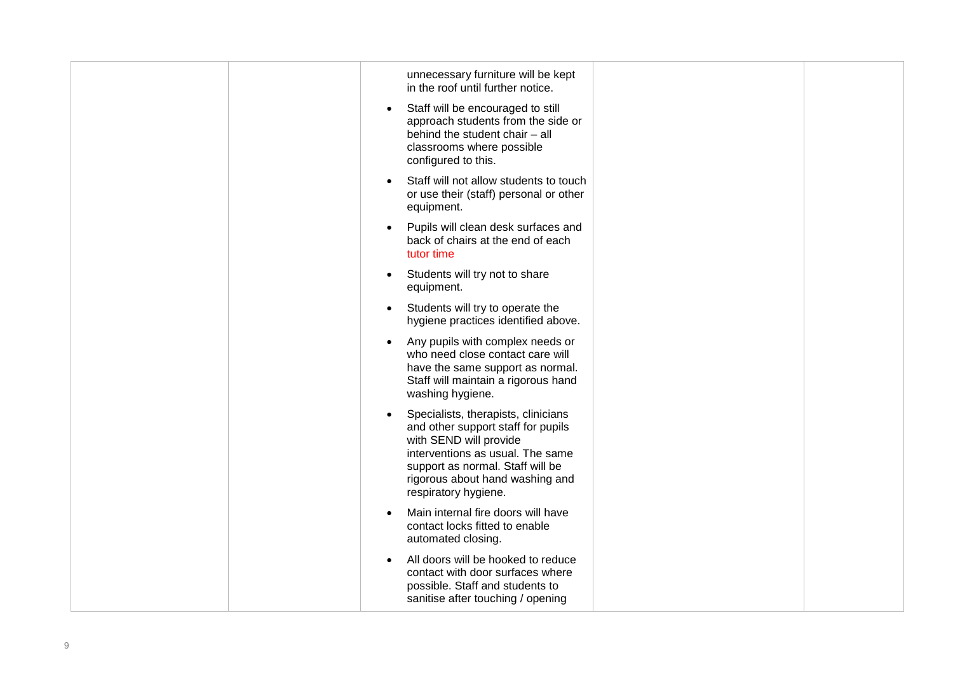| unnecessary furniture will be kept<br>in the roof until further notice.                                                                                                                                                                             |
|-----------------------------------------------------------------------------------------------------------------------------------------------------------------------------------------------------------------------------------------------------|
| Staff will be encouraged to still<br>$\bullet$<br>approach students from the side or<br>behind the student chair - all<br>classrooms where possible<br>configured to this.                                                                          |
| Staff will not allow students to touch<br>$\bullet$<br>or use their (staff) personal or other<br>equipment.                                                                                                                                         |
| Pupils will clean desk surfaces and<br>$\bullet$<br>back of chairs at the end of each<br>tutor time                                                                                                                                                 |
| Students will try not to share<br>$\bullet$<br>equipment.                                                                                                                                                                                           |
| Students will try to operate the<br>$\bullet$<br>hygiene practices identified above.                                                                                                                                                                |
| Any pupils with complex needs or<br>$\bullet$<br>who need close contact care will<br>have the same support as normal.<br>Staff will maintain a rigorous hand<br>washing hygiene.                                                                    |
| Specialists, therapists, clinicians<br>$\bullet$<br>and other support staff for pupils<br>with SEND will provide<br>interventions as usual. The same<br>support as normal. Staff will be<br>rigorous about hand washing and<br>respiratory hygiene. |
| Main internal fire doors will have<br>$\bullet$<br>contact locks fitted to enable<br>automated closing.                                                                                                                                             |
| All doors will be hooked to reduce<br>$\bullet$<br>contact with door surfaces where<br>possible. Staff and students to<br>sanitise after touching / opening                                                                                         |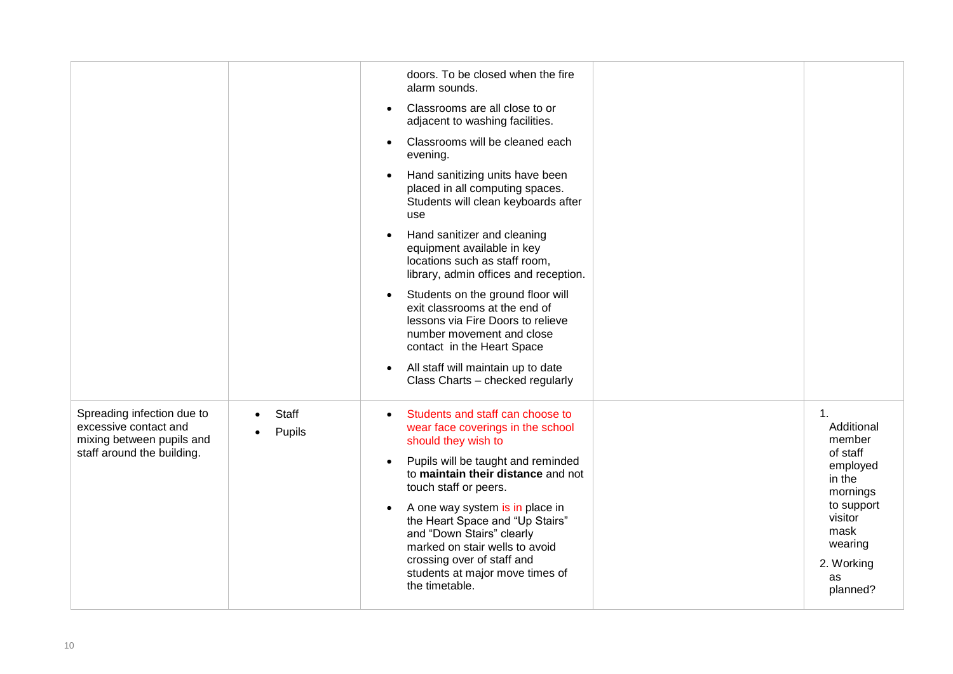|                                                                                                                |                        | doors. To be closed when the fire<br>alarm sounds.<br>Classrooms are all close to or<br>$\bullet$<br>adjacent to washing facilities.<br>Classrooms will be cleaned each<br>$\bullet$<br>evening.<br>Hand sanitizing units have been<br>$\bullet$<br>placed in all computing spaces.<br>Students will clean keyboards after<br>use<br>Hand sanitizer and cleaning<br>$\bullet$<br>equipment available in key<br>locations such as staff room,<br>library, admin offices and reception.<br>Students on the ground floor will<br>$\bullet$<br>exit classrooms at the end of<br>lessons via Fire Doors to relieve<br>number movement and close<br>contact in the Heart Space<br>All staff will maintain up to date<br>$\bullet$<br>Class Charts - checked regularly |                                                                                                                                                      |
|----------------------------------------------------------------------------------------------------------------|------------------------|-----------------------------------------------------------------------------------------------------------------------------------------------------------------------------------------------------------------------------------------------------------------------------------------------------------------------------------------------------------------------------------------------------------------------------------------------------------------------------------------------------------------------------------------------------------------------------------------------------------------------------------------------------------------------------------------------------------------------------------------------------------------|------------------------------------------------------------------------------------------------------------------------------------------------------|
| Spreading infection due to<br>excessive contact and<br>mixing between pupils and<br>staff around the building. | <b>Staff</b><br>Pupils | Students and staff can choose to<br>$\bullet$<br>wear face coverings in the school<br>should they wish to<br>Pupils will be taught and reminded<br>$\bullet$<br>to maintain their distance and not<br>touch staff or peers.<br>A one way system is in place in<br>$\bullet$<br>the Heart Space and "Up Stairs"<br>and "Down Stairs" clearly<br>marked on stair wells to avoid<br>crossing over of staff and<br>students at major move times of<br>the timetable.                                                                                                                                                                                                                                                                                                | 1.<br>Additional<br>member<br>of staff<br>employed<br>in the<br>mornings<br>to support<br>visitor<br>mask<br>wearing<br>2. Working<br>as<br>planned? |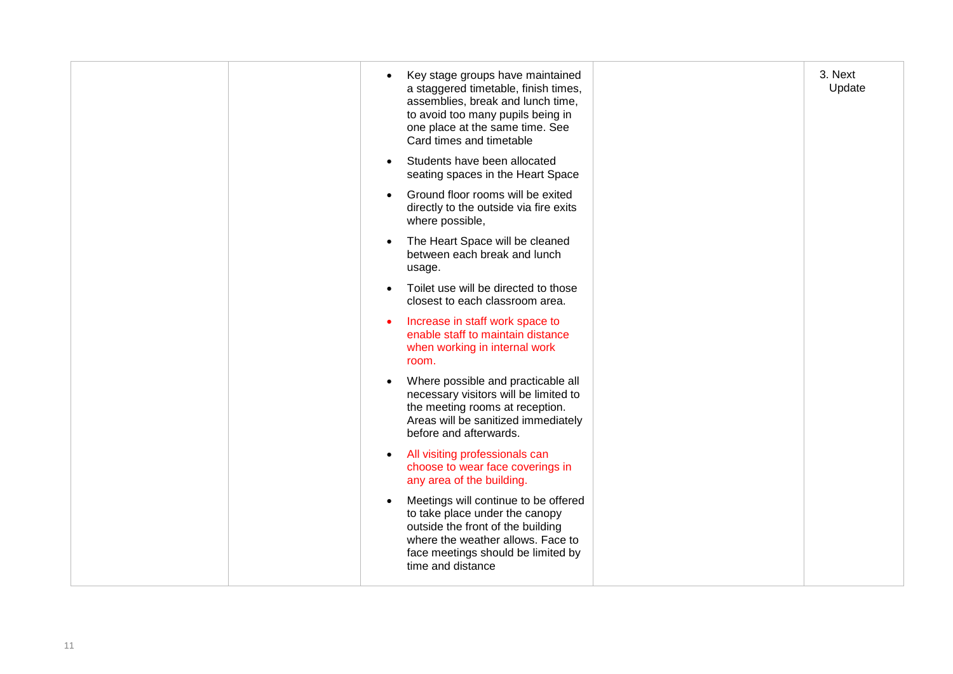| Key stage groups have maintained<br>$\bullet$<br>a staggered timetable, finish times,<br>assemblies, break and lunch time,<br>to avoid too many pupils being in<br>one place at the same time. See<br>Card times and timetable | 3. Next<br>Update |
|--------------------------------------------------------------------------------------------------------------------------------------------------------------------------------------------------------------------------------|-------------------|
| Students have been allocated<br>$\bullet$<br>seating spaces in the Heart Space                                                                                                                                                 |                   |
| Ground floor rooms will be exited<br>$\bullet$<br>directly to the outside via fire exits<br>where possible,                                                                                                                    |                   |
| The Heart Space will be cleaned<br>$\bullet$<br>between each break and lunch<br>usage.                                                                                                                                         |                   |
| Toilet use will be directed to those<br>$\bullet$<br>closest to each classroom area.                                                                                                                                           |                   |
| Increase in staff work space to<br>$\bullet$<br>enable staff to maintain distance<br>when working in internal work<br>room.                                                                                                    |                   |
| Where possible and practicable all<br>necessary visitors will be limited to<br>the meeting rooms at reception.<br>Areas will be sanitized immediately<br>before and afterwards.                                                |                   |
| All visiting professionals can<br>$\bullet$<br>choose to wear face coverings in<br>any area of the building.                                                                                                                   |                   |
| Meetings will continue to be offered<br>$\bullet$<br>to take place under the canopy<br>outside the front of the building<br>where the weather allows. Face to<br>face meetings should be limited by<br>time and distance       |                   |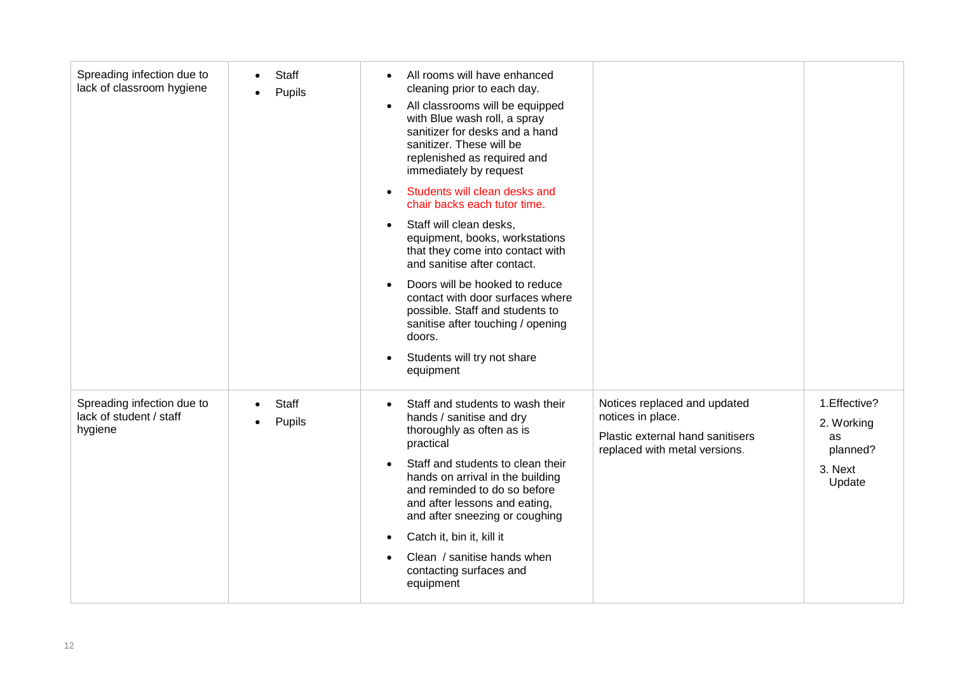| Spreading infection due to<br>lack of classroom hygiene          | <b>Staff</b><br>Pupils | All rooms will have enhanced<br>$\bullet$<br>cleaning prior to each day.<br>All classrooms will be equipped<br>$\bullet$<br>with Blue wash roll, a spray<br>sanitizer for desks and a hand<br>sanitizer. These will be<br>replenished as required and<br>immediately by request<br>Students will clean desks and<br>$\bullet$<br>chair backs each tutor time.<br>Staff will clean desks,<br>$\bullet$<br>equipment, books, workstations<br>that they come into contact with<br>and sanitise after contact.<br>Doors will be hooked to reduce<br>$\bullet$<br>contact with door surfaces where<br>possible. Staff and students to<br>sanitise after touching / opening<br>doors.<br>Students will try not share<br>$\bullet$<br>equipment |                                                                                                                        |                                                                    |
|------------------------------------------------------------------|------------------------|------------------------------------------------------------------------------------------------------------------------------------------------------------------------------------------------------------------------------------------------------------------------------------------------------------------------------------------------------------------------------------------------------------------------------------------------------------------------------------------------------------------------------------------------------------------------------------------------------------------------------------------------------------------------------------------------------------------------------------------|------------------------------------------------------------------------------------------------------------------------|--------------------------------------------------------------------|
| Spreading infection due to<br>lack of student / staff<br>hygiene | <b>Staff</b><br>Pupils | Staff and students to wash their<br>$\bullet$<br>hands / sanitise and dry<br>thoroughly as often as is<br>practical<br>Staff and students to clean their<br>$\bullet$<br>hands on arrival in the building<br>and reminded to do so before<br>and after lessons and eating,<br>and after sneezing or coughing<br>Catch it, bin it, kill it<br>$\bullet$<br>Clean / sanitise hands when<br>$\bullet$<br>contacting surfaces and<br>equipment                                                                                                                                                                                                                                                                                               | Notices replaced and updated<br>notices in place.<br>Plastic external hand sanitisers<br>replaced with metal versions. | 1. Effective?<br>2. Working<br>as<br>planned?<br>3. Next<br>Update |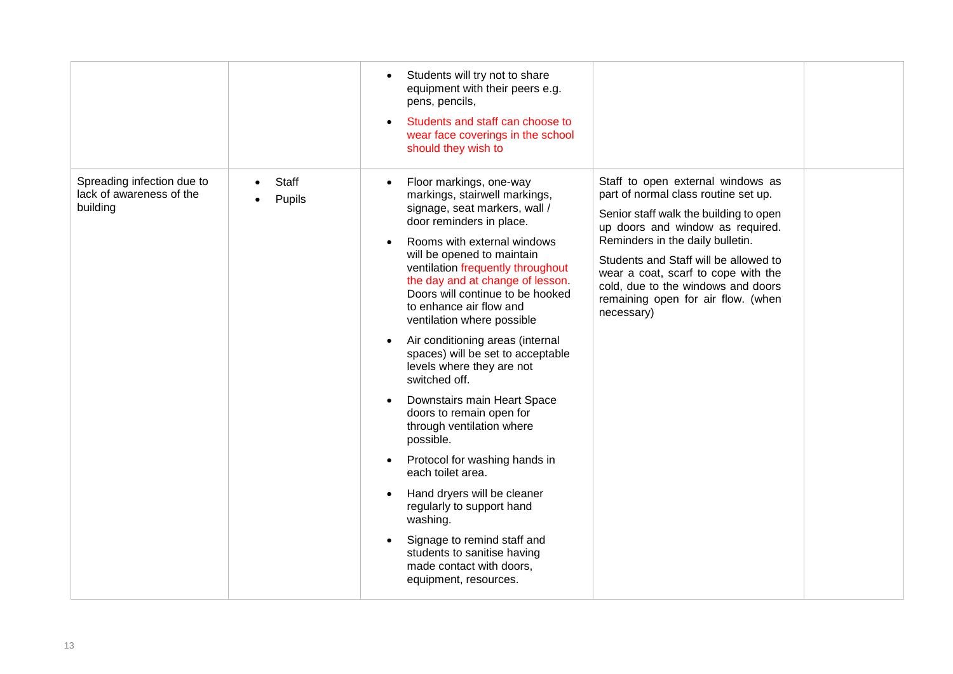|                                                                    |                        | Students will try not to share<br>$\bullet$<br>equipment with their peers e.g.<br>pens, pencils,<br>Students and staff can choose to<br>$\bullet$<br>wear face coverings in the school<br>should they wish to                                                                                                                                                                                                                                                                                                                                                                                                                                                                                                                                                                                                                                                                                                       |                                                                                                                                                                                                                                                                                                                                                                       |  |
|--------------------------------------------------------------------|------------------------|---------------------------------------------------------------------------------------------------------------------------------------------------------------------------------------------------------------------------------------------------------------------------------------------------------------------------------------------------------------------------------------------------------------------------------------------------------------------------------------------------------------------------------------------------------------------------------------------------------------------------------------------------------------------------------------------------------------------------------------------------------------------------------------------------------------------------------------------------------------------------------------------------------------------|-----------------------------------------------------------------------------------------------------------------------------------------------------------------------------------------------------------------------------------------------------------------------------------------------------------------------------------------------------------------------|--|
| Spreading infection due to<br>lack of awareness of the<br>building | <b>Staff</b><br>Pupils | Floor markings, one-way<br>$\bullet$<br>markings, stairwell markings,<br>signage, seat markers, wall /<br>door reminders in place.<br>Rooms with external windows<br>will be opened to maintain<br>ventilation frequently throughout<br>the day and at change of lesson.<br>Doors will continue to be hooked<br>to enhance air flow and<br>ventilation where possible<br>Air conditioning areas (internal<br>$\bullet$<br>spaces) will be set to acceptable<br>levels where they are not<br>switched off.<br>Downstairs main Heart Space<br>$\bullet$<br>doors to remain open for<br>through ventilation where<br>possible.<br>Protocol for washing hands in<br>$\bullet$<br>each toilet area.<br>Hand dryers will be cleaner<br>$\bullet$<br>regularly to support hand<br>washing.<br>Signage to remind staff and<br>$\bullet$<br>students to sanitise having<br>made contact with doors,<br>equipment, resources. | Staff to open external windows as<br>part of normal class routine set up.<br>Senior staff walk the building to open<br>up doors and window as required.<br>Reminders in the daily bulletin.<br>Students and Staff will be allowed to<br>wear a coat, scarf to cope with the<br>cold, due to the windows and doors<br>remaining open for air flow. (when<br>necessary) |  |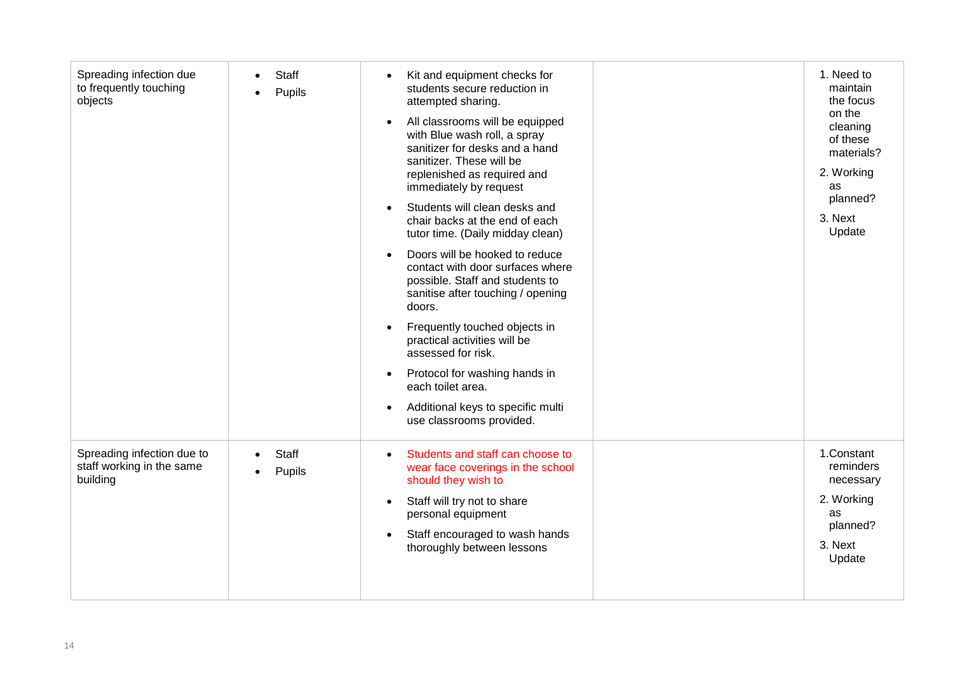| Spreading infection due<br>to frequently touching<br>objects        | <b>Staff</b><br>Pupils | Kit and equipment checks for<br>$\bullet$<br>students secure reduction in<br>attempted sharing.<br>All classrooms will be equipped<br>$\bullet$<br>with Blue wash roll, a spray<br>sanitizer for desks and a hand<br>sanitizer. These will be<br>replenished as required and<br>immediately by request<br>Students will clean desks and<br>$\bullet$<br>chair backs at the end of each<br>tutor time. (Daily midday clean)<br>Doors will be hooked to reduce<br>$\bullet$<br>contact with door surfaces where<br>possible. Staff and students to<br>sanitise after touching / opening<br>doors.<br>Frequently touched objects in<br>$\bullet$<br>practical activities will be<br>assessed for risk.<br>Protocol for washing hands in<br>$\bullet$<br>each toilet area.<br>Additional keys to specific multi<br>$\bullet$<br>use classrooms provided. | 1. Need to<br>maintain<br>the focus<br>on the<br>cleaning<br>of these<br>materials?<br>2. Working<br>as<br>planned?<br>3. Next<br>Update |
|---------------------------------------------------------------------|------------------------|------------------------------------------------------------------------------------------------------------------------------------------------------------------------------------------------------------------------------------------------------------------------------------------------------------------------------------------------------------------------------------------------------------------------------------------------------------------------------------------------------------------------------------------------------------------------------------------------------------------------------------------------------------------------------------------------------------------------------------------------------------------------------------------------------------------------------------------------------|------------------------------------------------------------------------------------------------------------------------------------------|
| Spreading infection due to<br>staff working in the same<br>building | <b>Staff</b><br>Pupils | Students and staff can choose to<br>$\bullet$<br>wear face coverings in the school<br>should they wish to<br>Staff will try not to share<br>$\bullet$<br>personal equipment<br>Staff encouraged to wash hands<br>$\bullet$<br>thoroughly between lessons                                                                                                                                                                                                                                                                                                                                                                                                                                                                                                                                                                                             | 1.Constant<br>reminders<br>necessary<br>2. Working<br>as<br>planned?<br>3. Next<br>Update                                                |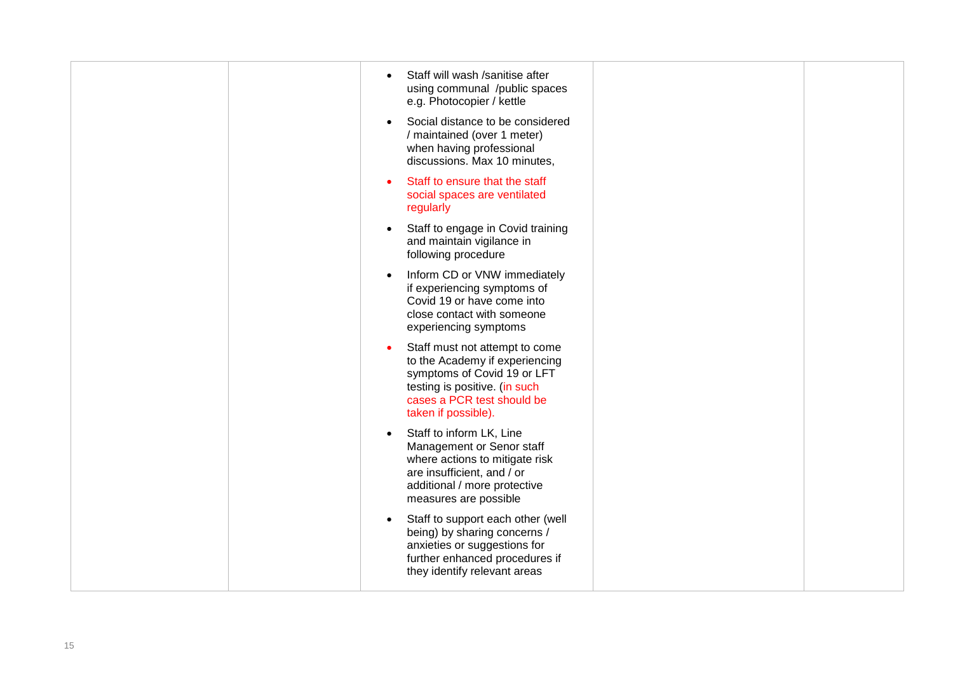| Staff will wash /sanitise after<br>$\bullet$<br>using communal /public spaces<br>e.g. Photocopier / kettle                                                                                         |  |
|----------------------------------------------------------------------------------------------------------------------------------------------------------------------------------------------------|--|
| Social distance to be considered<br>$\bullet$<br>/ maintained (over 1 meter)<br>when having professional<br>discussions. Max 10 minutes,                                                           |  |
| Staff to ensure that the staff<br>$\bullet$<br>social spaces are ventilated<br>regularly                                                                                                           |  |
| Staff to engage in Covid training<br>$\bullet$<br>and maintain vigilance in<br>following procedure                                                                                                 |  |
| Inform CD or VNW immediately<br>$\bullet$<br>if experiencing symptoms of<br>Covid 19 or have come into<br>close contact with someone<br>experiencing symptoms                                      |  |
| Staff must not attempt to come<br>$\bullet$<br>to the Academy if experiencing<br>symptoms of Covid 19 or LFT<br>testing is positive. (in such<br>cases a PCR test should be<br>taken if possible). |  |
| Staff to inform LK, Line<br>$\bullet$<br>Management or Senor staff<br>where actions to mitigate risk<br>are insufficient, and / or<br>additional / more protective<br>measures are possible        |  |
| Staff to support each other (well<br>$\bullet$<br>being) by sharing concerns /<br>anxieties or suggestions for<br>further enhanced procedures if<br>they identify relevant areas                   |  |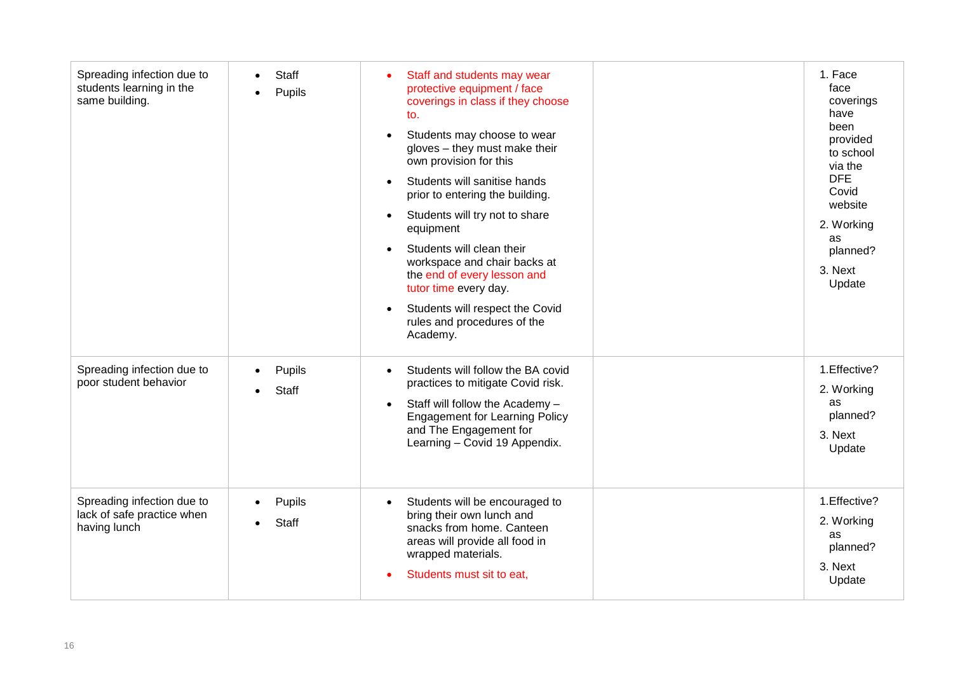| Spreading infection due to<br>students learning in the<br>same building. | <b>Staff</b><br>Pupils | Staff and students may wear<br>$\bullet$<br>protective equipment / face<br>coverings in class if they choose<br>to.<br>Students may choose to wear<br>$\bullet$<br>gloves - they must make their<br>own provision for this<br>Students will sanitise hands<br>$\bullet$<br>prior to entering the building.<br>Students will try not to share<br>$\bullet$<br>equipment<br>Students will clean their<br>$\bullet$<br>workspace and chair backs at<br>the end of every lesson and<br>tutor time every day.<br>Students will respect the Covid<br>$\bullet$<br>rules and procedures of the<br>Academy. | 1. Face<br>face<br>coverings<br>have<br>been<br>provided<br>to school<br>via the<br><b>DFE</b><br>Covid<br>website<br>2. Working<br>as<br>planned?<br>3. Next<br>Update |
|--------------------------------------------------------------------------|------------------------|-----------------------------------------------------------------------------------------------------------------------------------------------------------------------------------------------------------------------------------------------------------------------------------------------------------------------------------------------------------------------------------------------------------------------------------------------------------------------------------------------------------------------------------------------------------------------------------------------------|-------------------------------------------------------------------------------------------------------------------------------------------------------------------------|
| Spreading infection due to<br>poor student behavior                      | Pupils<br><b>Staff</b> | Students will follow the BA covid<br>$\bullet$<br>practices to mitigate Covid risk.<br>Staff will follow the Academy -<br>$\bullet$<br><b>Engagement for Learning Policy</b><br>and The Engagement for<br>Learning - Covid 19 Appendix.                                                                                                                                                                                                                                                                                                                                                             | 1. Effective?<br>2. Working<br>as<br>planned?<br>3. Next<br>Update                                                                                                      |
| Spreading infection due to<br>lack of safe practice when<br>having lunch | Pupils<br>Staff        | Students will be encouraged to<br>$\bullet$<br>bring their own lunch and<br>snacks from home. Canteen<br>areas will provide all food in<br>wrapped materials.<br>Students must sit to eat,                                                                                                                                                                                                                                                                                                                                                                                                          | 1. Effective?<br>2. Working<br>as<br>planned?<br>3. Next<br>Update                                                                                                      |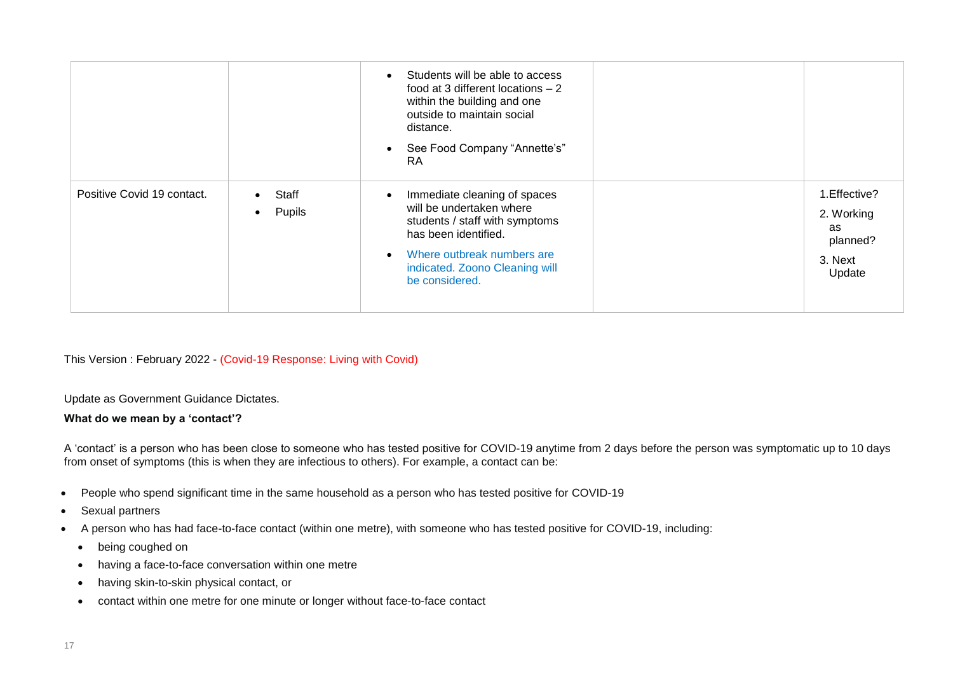|                            |                                           | Students will be able to access<br>$\bullet$<br>food at 3 different locations $-2$<br>within the building and one<br>outside to maintain social<br>distance.<br>See Food Company "Annette's"<br>$\bullet$<br>RA.               |                                                                    |
|----------------------------|-------------------------------------------|--------------------------------------------------------------------------------------------------------------------------------------------------------------------------------------------------------------------------------|--------------------------------------------------------------------|
| Positive Covid 19 contact. | Staff<br>$\bullet$<br>Pupils<br>$\bullet$ | Immediate cleaning of spaces<br>$\bullet$<br>will be undertaken where<br>students / staff with symptoms<br>has been identified.<br>Where outbreak numbers are<br>$\bullet$<br>indicated. Zoono Cleaning will<br>be considered. | 1. Effective?<br>2. Working<br>as<br>planned?<br>3. Next<br>Update |

This Version : February 2022 - (Covid-19 Response: Living with Covid)

Update as Government Guidance Dictates.

## **What do we mean by a 'contact'?**

A 'contact' is a person who has been close to someone who has tested positive for COVID-19 anytime from 2 days before the person was symptomatic up to 10 days from onset of symptoms (this is when they are infectious to others). For example, a contact can be:

- People who spend significant time in the same household as a person who has tested positive for COVID-19
- Sexual partners
- A person who has had face-to-face contact (within one metre), with someone who has tested positive for COVID-19, including:
	- being coughed on
	- having a face-to-face conversation within one metre
	- having skin-to-skin physical contact, or
	- contact within one metre for one minute or longer without face-to-face contact